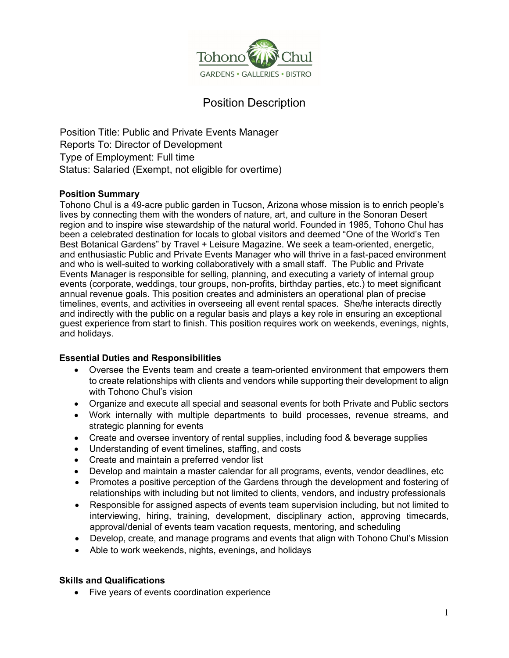

# Position Description

Position Title: Public and Private Events Manager Reports To: Director of Development Type of Employment: Full time Status: Salaried (Exempt, not eligible for overtime)

# **Position Summary**

Tohono Chul is a 49-acre public garden in Tucson, Arizona whose mission is to enrich people's lives by connecting them with the wonders of nature, art, and culture in the Sonoran Desert region and to inspire wise stewardship of the natural world. Founded in 1985, Tohono Chul has been a celebrated destination for locals to global visitors and deemed "One of the World's Ten Best Botanical Gardens" by Travel + Leisure Magazine. We seek a team-oriented, energetic, and enthusiastic Public and Private Events Manager who will thrive in a fast-paced environment and who is well-suited to working collaboratively with a small staff. The Public and Private Events Manager is responsible for selling, planning, and executing a variety of internal group events (corporate, weddings, tour groups, non-profits, birthday parties, etc.) to meet significant annual revenue goals. This position creates and administers an operational plan of precise timelines, events, and activities in overseeing all event rental spaces. She/he interacts directly and indirectly with the public on a regular basis and plays a key role in ensuring an exceptional guest experience from start to finish. This position requires work on weekends, evenings, nights, and holidays.

# **Essential Duties and Responsibilities**

- Oversee the Events team and create a team-oriented environment that empowers them to create relationships with clients and vendors while supporting their development to align with Tohono Chul's vision
- Organize and execute all special and seasonal events for both Private and Public sectors
- Work internally with multiple departments to build processes, revenue streams, and strategic planning for events
- Create and oversee inventory of rental supplies, including food & beverage supplies
- Understanding of event timelines, staffing, and costs
- Create and maintain a preferred vendor list
- Develop and maintain a master calendar for all programs, events, vendor deadlines, etc
- Promotes a positive perception of the Gardens through the development and fostering of relationships with including but not limited to clients, vendors, and industry professionals
- Responsible for assigned aspects of events team supervision including, but not limited to interviewing, hiring, training, development, disciplinary action, approving timecards, approval/denial of events team vacation requests, mentoring, and scheduling
- Develop, create, and manage programs and events that align with Tohono Chul's Mission
- Able to work weekends, nights, evenings, and holidays

# **Skills and Qualifications**

• Five years of events coordination experience